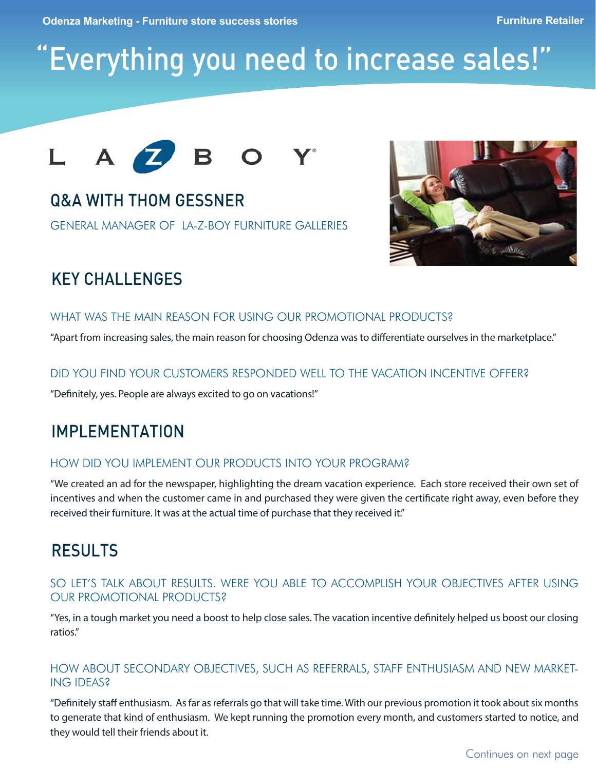# "Everything you need to increase sales!"



# Q&A WITH THOM GESSNER

GENERAL MANAGER OF LA-Z-BOY FURNITURE GALLERIES



# **KEY CHALLENGES**

### WHAT WAS THE MAIN REASON FOR USING OUR PROMOTIONAL PRODUCTS?

"Apart from increasing sales, the main reason for choosing Odenza was to differentiate ourselves in the marketplace."

### DID YOU FIND YOUR CUSTOMERS RESPONDED WELL TO THE VACATION INCENTIVE OFFER?

"Definitely, yes. People are always excited to go on vacations!"

### IMPLEMENTATION

### HOW DID YOU IMPLEMENT OUR PRODUCTS INTO YOUR PROGRAM?

"We created an ad for the newspaper, highlighting the dream vacation experience. Each store received their own set of incentives and when the customer came in and purchased they were given the certificate right away, even before they received their furniture. It was at the actual time of purchase that they received it."

### RESULTS

### SO LET'S TALK ABOUT RESULTS. WERE YOU ABLE TO ACCOMPLISH YOUR OBJECTIVES AFTER USING OUR PROMOTIONAL PRODUCTS?

"Yes, in a tough market you need a boost to help close sales. The vacation incentive definitely helped us boost our closing ratios."

### HOW ABOUT SECONDARY OBJECTIVES, SUCH AS REFERRALS, STAFF ENTHUSIASM AND NEW MARKET-ING IDEAS?

"Definitely staff enthusiasm. As far as referrals go that will take time. With our previous promotion it took about six months to generate that kind of enthusiasm. We kept running the promotion every month, and customers started to notice, and they would tell their friends about it.